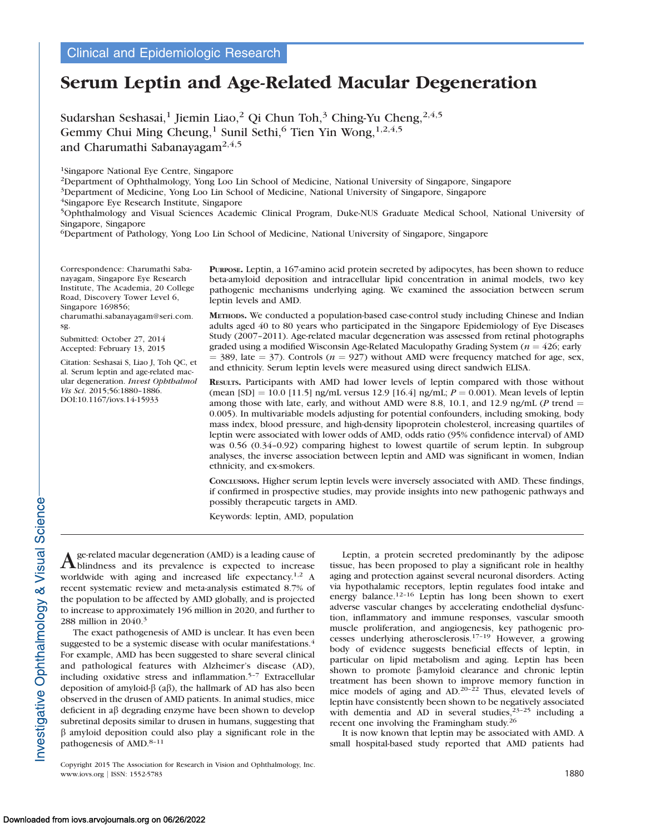# Serum Leptin and Age-Related Macular Degeneration

Sudarshan Seshasai,<sup>1</sup> Jiemin Liao,<sup>2</sup> Qi Chun Toh,<sup>3</sup> Ching-Yu Cheng,<sup>2,4,5</sup> Gemmy Chui Ming Cheung,<sup>1</sup> Sunil Sethi,<sup>6</sup> Tien Yin Wong,<sup>1,2,4,5</sup> and Charumathi Sabanayagam<sup>2,4,5</sup>

1Singapore National Eye Centre, Singapore

2Department of Ophthalmology, Yong Loo Lin School of Medicine, National University of Singapore, Singapore

3Department of Medicine, Yong Loo Lin School of Medicine, National University of Singapore, Singapore

4Singapore Eye Research Institute, Singapore

5Ophthalmology and Visual Sciences Academic Clinical Program, Duke-NUS Graduate Medical School, National University of Singapore, Singapore

6Department of Pathology, Yong Loo Lin School of Medicine, National University of Singapore, Singapore

Correspondence: Charumathi Sabanayagam, Singapore Eye Research Institute, The Academia, 20 College Road, Discovery Tower Level 6, Singapore 169856;

charumathi.sabanayagam@seri.com. sg.

Submitted: October 27, 2014 Accepted: February 13, 2015

Citation: Seshasai S, Liao J, Toh QC, et al. Serum leptin and age-related macular degeneration. Invest Ophthalmol Vis Sci. 2015;56:1880–1886. DOI:10.1167/iovs.14-15933

PURPOSE. Leptin, a 167-amino acid protein secreted by adipocytes, has been shown to reduce beta-amyloid deposition and intracellular lipid concentration in animal models, two key pathogenic mechanisms underlying aging. We examined the association between serum leptin levels and AMD.

METHODS. We conducted a population-based case-control study including Chinese and Indian adults aged 40 to 80 years who participated in the Singapore Epidemiology of Eye Diseases Study (2007–2011). Age-related macular degeneration was assessed from retinal photographs graded using a modified Wisconsin Age-Related Maculopathy Grading System ( $n = 426$ ; early  $=$  389, late  $=$  37). Controls ( $n = 927$ ) without AMD were frequency matched for age, sex, and ethnicity. Serum leptin levels were measured using direct sandwich ELISA.

RESULTS. Participants with AMD had lower levels of leptin compared with those without (mean [SD] = 10.0 [11.5] ng/mL versus 12.9 [16.4] ng/mL;  $P = 0.001$ ). Mean levels of leptin among those with late, early, and without AMD were 8.8, 10.1, and 12.9 ng/mL ( $P$  trend = 0.005). In multivariable models adjusting for potential confounders, including smoking, body mass index, blood pressure, and high-density lipoprotein cholesterol, increasing quartiles of leptin were associated with lower odds of AMD, odds ratio (95% confidence interval) of AMD was 0.56 (0.34–0.92) comparing highest to lowest quartile of serum leptin. In subgroup analyses, the inverse association between leptin and AMD was significant in women, Indian ethnicity, and ex-smokers.

CONCLUSIONS. Higher serum leptin levels were inversely associated with AMD. These findings, if confirmed in prospective studies, may provide insights into new pathogenic pathways and possibly therapeutic targets in AMD.

Keywords: leptin, AMD, population

Age-related macular degeneration (AMD) is a leading cause of blindness and its prevalence is expected to increase worldwide with aging and increased life expectancy.<sup>1,2</sup> A recent systematic review and meta-analysis estimated 8.7% of the population to be affected by AMD globally, and is projected to increase to approximately 196 million in 2020, and further to 288 million in 2040.<sup>3</sup>

The exact pathogenesis of AMD is unclear. It has even been suggested to be a systemic disease with ocular manifestations.<sup>4</sup> For example, AMD has been suggested to share several clinical and pathological features with Alzheimer's disease (AD), including oxidative stress and inflammation.5–7 Extracellular deposition of amyloid- $\beta$  (a $\beta$ ), the hallmark of AD has also been observed in the drusen of AMD patients. In animal studies, mice deficient in  $a\beta$  degrading enzyme have been shown to develop subretinal deposits similar to drusen in humans, suggesting that  $\beta$  amyloid deposition could also play a significant role in the pathogenesis of AMD.<sup>8-11</sup>

Copyright 2015 The Association for Research in Vision and Ophthalmology, Inc. www.iovs.org | ISSN: 1552-5783 1880

Leptin, a protein secreted predominantly by the adipose tissue, has been proposed to play a significant role in healthy aging and protection against several neuronal disorders. Acting via hypothalamic receptors, leptin regulates food intake and energy balance.<sup>12-16</sup> Leptin has long been shown to exert adverse vascular changes by accelerating endothelial dysfunction, inflammatory and immune responses, vascular smooth muscle proliferation, and angiogenesis, key pathogenic processes underlying atherosclerosis.17–19 However, a growing body of evidence suggests beneficial effects of leptin, in particular on lipid metabolism and aging. Leptin has been shown to promote  $\beta$ -amyloid clearance and chronic leptin treatment has been shown to improve memory function in mice models of aging and AD.<sup>20–22</sup> Thus, elevated levels of leptin have consistently been shown to be negatively associated with dementia and AD in several studies,  $23-25$  including a recent one involving the Framingham study.<sup>26</sup>

It is now known that leptin may be associated with AMD. A small hospital-based study reported that AMD patients had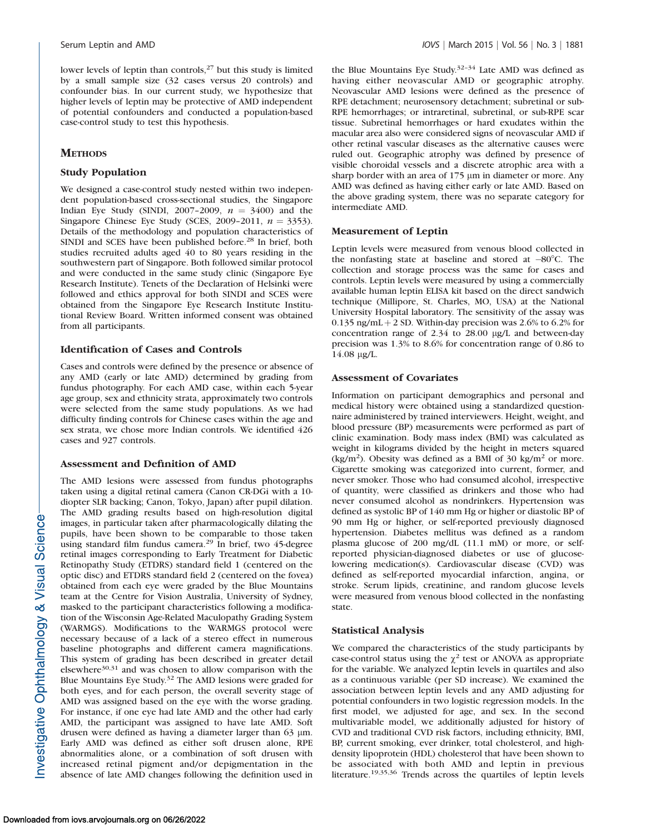lower levels of leptin than controls,<sup>27</sup> but this study is limited by a small sample size (32 cases versus 20 controls) and confounder bias. In our current study, we hypothesize that higher levels of leptin may be protective of AMD independent of potential confounders and conducted a population-based case-control study to test this hypothesis.

# **METHODS**

#### Study Population

We designed a case-control study nested within two independent population-based cross-sectional studies, the Singapore Indian Eye Study (SINDI, 2007–2009,  $n = 3400$ ) and the Singapore Chinese Eye Study (SCES, 2009–2011,  $n = 3353$ ). Details of the methodology and population characteristics of SINDI and SCES have been published before.<sup>28</sup> In brief, both studies recruited adults aged 40 to 80 years residing in the southwestern part of Singapore. Both followed similar protocol and were conducted in the same study clinic (Singapore Eye Research Institute). Tenets of the Declaration of Helsinki were followed and ethics approval for both SINDI and SCES were obtained from the Singapore Eye Research Institute Institutional Review Board. Written informed consent was obtained from all participants.

### Identification of Cases and Controls

Cases and controls were defined by the presence or absence of any AMD (early or late AMD) determined by grading from fundus photography. For each AMD case, within each 5-year age group, sex and ethnicity strata, approximately two controls were selected from the same study populations. As we had difficulty finding controls for Chinese cases within the age and sex strata, we chose more Indian controls. We identified 426 cases and 927 controls.

# Assessment and Definition of AMD

The AMD lesions were assessed from fundus photographs taken using a digital retinal camera (Canon CR-DGi with a 10 diopter SLR backing; Canon, Tokyo, Japan) after pupil dilation. The AMD grading results based on high-resolution digital images, in particular taken after pharmacologically dilating the pupils, have been shown to be comparable to those taken using standard film fundus camera.<sup>29</sup> In brief, two 45-degree retinal images corresponding to Early Treatment for Diabetic Retinopathy Study (ETDRS) standard field 1 (centered on the optic disc) and ETDRS standard field 2 (centered on the fovea) obtained from each eye were graded by the Blue Mountains team at the Centre for Vision Australia, University of Sydney, masked to the participant characteristics following a modification of the Wisconsin Age-Related Maculopathy Grading System (WARMGS). Modifications to the WARMGS protocol were necessary because of a lack of a stereo effect in numerous baseline photographs and different camera magnifications. This system of grading has been described in greater detail elsewhere $30,31$  and was chosen to allow comparison with the Blue Mountains Eye Study.32 The AMD lesions were graded for both eyes, and for each person, the overall severity stage of AMD was assigned based on the eye with the worse grading. For instance, if one eye had late AMD and the other had early AMD, the participant was assigned to have late AMD. Soft drusen were defined as having a diameter larger than 63  $\mu$ m. Early AMD was defined as either soft drusen alone, RPE abnormalities alone, or a combination of soft drusen with increased retinal pigment and/or depigmentation in the absence of late AMD changes following the definition used in

the Blue Mountains Eye Study.32–34 Late AMD was defined as having either neovascular AMD or geographic atrophy. Neovascular AMD lesions were defined as the presence of RPE detachment; neurosensory detachment; subretinal or sub-RPE hemorrhages; or intraretinal, subretinal, or sub-RPE scar tissue. Subretinal hemorrhages or hard exudates within the macular area also were considered signs of neovascular AMD if other retinal vascular diseases as the alternative causes were ruled out. Geographic atrophy was defined by presence of visible choroidal vessels and a discrete atrophic area with a sharp border with an area of  $175 \mu m$  in diameter or more. Any AMD was defined as having either early or late AMD. Based on the above grading system, there was no separate category for intermediate AMD.

# Measurement of Leptin

Leptin levels were measured from venous blood collected in the nonfasting state at baseline and stored at  $-80^{\circ}$ C. The collection and storage process was the same for cases and controls. Leptin levels were measured by using a commercially available human leptin ELISA kit based on the direct sandwich technique (Millipore, St. Charles, MO, USA) at the National University Hospital laboratory. The sensitivity of the assay was 0.135 ng/mL + 2 SD. Within-day precision was 2.6% to 6.2% for concentration range of  $2.34$  to  $28.00 \mu g/L$  and between-day precision was 1.3% to 8.6% for concentration range of 0.86 to  $14.08 \mu g/L$ .

### Assessment of Covariates

Information on participant demographics and personal and medical history were obtained using a standardized questionnaire administered by trained interviewers. Height, weight, and blood pressure (BP) measurements were performed as part of clinic examination. Body mass index (BMI) was calculated as weight in kilograms divided by the height in meters squared  $(kg/m<sup>2</sup>)$ . Obesity was defined as a BMI of 30 kg/m<sup>2</sup> or more. Cigarette smoking was categorized into current, former, and never smoker. Those who had consumed alcohol, irrespective of quantity, were classified as drinkers and those who had never consumed alcohol as nondrinkers. Hypertension was defined as systolic BP of 140 mm Hg or higher or diastolic BP of 90 mm Hg or higher, or self-reported previously diagnosed hypertension. Diabetes mellitus was defined as a random plasma glucose of 200 mg/dL (11.1 mM) or more, or selfreported physician-diagnosed diabetes or use of glucoselowering medication(s). Cardiovascular disease (CVD) was defined as self-reported myocardial infarction, angina, or stroke. Serum lipids, creatinine, and random glucose levels were measured from venous blood collected in the nonfasting state.

# Statistical Analysis

We compared the characteristics of the study participants by case-control status using the  $\chi^2$  test or ANOVA as appropriate for the variable. We analyzed leptin levels in quartiles and also as a continuous variable (per SD increase). We examined the association between leptin levels and any AMD adjusting for potential confounders in two logistic regression models. In the first model, we adjusted for age, and sex. In the second multivariable model, we additionally adjusted for history of CVD and traditional CVD risk factors, including ethnicity, BMI, BP, current smoking, ever drinker, total cholesterol, and highdensity lipoprotein (HDL) cholesterol that have been shown to be associated with both AMD and leptin in previous literature.19,35,36 Trends across the quartiles of leptin levels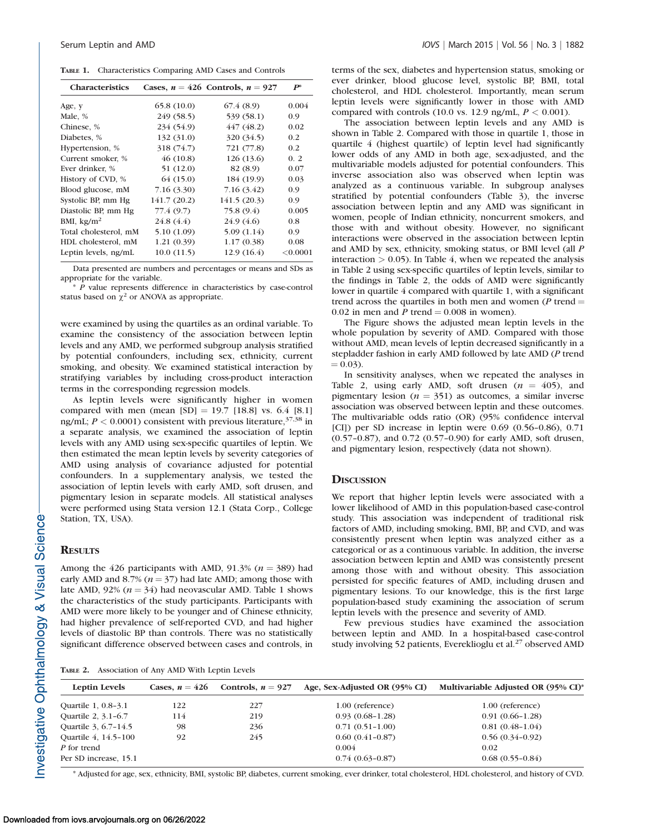TABLE 1. Characteristics Comparing AMD Cases and Controls

| <b>Characteristics</b> |             | Cases, $n = 426$ Controls, $n = 927$ | $\boldsymbol{P}^*$ |
|------------------------|-------------|--------------------------------------|--------------------|
| Age, y                 | 65.8(10.0)  | 67.4 (8.9)                           | 0.004              |
| Male, %                | 249 (58.5)  | 539 (58.1)                           | 0.9                |
| Chinese, %             | 234 (54.9)  | 447 (48.2)                           | 0.02               |
| Diabetes, %            | 132 (31.0)  | 320 (34.5)                           | 0.2                |
| Hypertension, %        | 318 (74.7)  | 721 (77.8)                           | 0.2                |
| Current smoker, %      | 46(10.8)    | 126(13.6)                            | 0.2                |
| Ever drinker, %        | 51 (12.0)   | 82 (8.9)                             | 0.07               |
| History of CVD, %      | 64 (15.0)   | 184 (19.9)                           | 0.03               |
| Blood glucose, mM      | 7.16(3.30)  | 7.16 (3.42)                          | 0.9                |
| Systolic BP, mm Hg     | 141.7(20.2) | 141.5(20.3)                          | 0.9                |
| Diastolic BP, mm Hg    | 77.4 (9.7)  | 75.8 (9.4)                           | 0.005              |
| BMI, $\text{kg/m}^2$   | 24.8(4.4)   | 24.9(4.6)                            | 0.8                |
| Total cholesterol, mM  | 5.10 (1.09) | 5.09(1.14)                           | 0.9                |
| HDL cholesterol, mM    | 1.21(0.39)  | 1.17(0.38)                           | 0.08               |
| Leptin levels, ng/mL   | 10.0(11.5)  | 12.9(16.4)                           | < 0.0001           |

Data presented are numbers and percentages or means and SDs as appropriate for the variable.

 $*$   $\overline{P}$  value represents difference in characteristics by case-control status based on  $\chi^2$  or ANOVA as appropriate.

were examined by using the quartiles as an ordinal variable. To examine the consistency of the association between leptin levels and any AMD, we performed subgroup analysis stratified by potential confounders, including sex, ethnicity, current smoking, and obesity. We examined statistical interaction by stratifying variables by including cross-product interaction terms in the corresponding regression models.

As leptin levels were significantly higher in women compared with men (mean  $[SD] = 19.7$   $[18.8]$  vs. 6.4  $[8.1]$ ng/mL;  $P < 0.0001$ ) consistent with previous literature,  $37,38$  in a separate analysis, we examined the association of leptin levels with any AMD using sex-specific quartiles of leptin. We then estimated the mean leptin levels by severity categories of AMD using analysis of covariance adjusted for potential confounders. In a supplementary analysis, we tested the association of leptin levels with early AMD, soft drusen, and pigmentary lesion in separate models. All statistical analyses were performed using Stata version 12.1 (Stata Corp., College Station, TX, USA).

#### **RESULTS**

Among the 426 participants with AMD, 91.3% ( $n = 389$ ) had early AMD and 8.7% ( $n = 37$ ) had late AMD; among those with late AMD, 92%  $(n = 34)$  had neovascular AMD. Table 1 shows the characteristics of the study participants. Participants with AMD were more likely to be younger and of Chinese ethnicity, had higher prevalence of self-reported CVD, and had higher levels of diastolic BP than controls. There was no statistically significant difference observed between cases and controls, in

TABLE 2. Association of Any AMD With Leptin Levels

terms of the sex, diabetes and hypertension status, smoking or ever drinker, blood glucose level, systolic BP, BMI, total cholesterol, and HDL cholesterol. Importantly, mean serum leptin levels were significantly lower in those with AMD compared with controls (10.0 vs. 12.9 ng/mL,  $P < 0.001$ ).

The association between leptin levels and any AMD is shown in Table 2. Compared with those in quartile 1, those in quartile 4 (highest quartile) of leptin level had significantly lower odds of any AMD in both age, sex-adjusted, and the multivariable models adjusted for potential confounders. This inverse association also was observed when leptin was analyzed as a continuous variable. In subgroup analyses stratified by potential confounders (Table 3), the inverse association between leptin and any AMD was significant in women, people of Indian ethnicity, noncurrent smokers, and those with and without obesity. However, no significant interactions were observed in the association between leptin and AMD by sex, ethnicity, smoking status, or BMI level (all P interaction  $> 0.05$ ). In Table 4, when we repeated the analysis in Table 2 using sex-specific quartiles of leptin levels, similar to the findings in Table 2, the odds of AMD were significantly lower in quartile 4 compared with quartile 1, with a significant trend across the quartiles in both men and women ( $P$  trend  $=$ 0.02 in men and  $\overline{P}$  trend = 0.008 in women).

The Figure shows the adjusted mean leptin levels in the whole population by severity of AMD. Compared with those without AMD, mean levels of leptin decreased significantly in a stepladder fashion in early AMD followed by late AMD (P trend  $= 0.03$ ).

In sensitivity analyses, when we repeated the analyses in Table 2, using early AMD, soft drusen  $(n = 405)$ , and pigmentary lesion ( $n = 351$ ) as outcomes, a similar inverse association was observed between leptin and these outcomes. The multivariable odds ratio (OR) (95% confidence interval [CI]) per SD increase in leptin were 0.69 (0.56–0.86), 0.71 (0.57–0.87), and 0.72 (0.57–0.90) for early AMD, soft drusen, and pigmentary lesion, respectively (data not shown).

#### **DISCUSSION**

We report that higher leptin levels were associated with a lower likelihood of AMD in this population-based case-control study. This association was independent of traditional risk factors of AMD, including smoking, BMI, BP, and CVD, and was consistently present when leptin was analyzed either as a categorical or as a continuous variable. In addition, the inverse association between leptin and AMD was consistently present among those with and without obesity. This association persisted for specific features of AMD, including drusen and pigmentary lesions. To our knowledge, this is the first large population-based study examining the association of serum leptin levels with the presence and severity of AMD.

Few previous studies have examined the association between leptin and AMD. In a hospital-based case-control study involving 52 patients, Evereklioglu et al.<sup>27</sup> observed AMD

| Leptin Levels         | Cases, $n = 426$ | Controls, $n = 927$ | Age, Sex-Adjusted OR (95% CI) | Multivariable Adjusted OR (95% CI)* |
|-----------------------|------------------|---------------------|-------------------------------|-------------------------------------|
| Quartile 1, 0.8-3.1   | 122.             | 227                 | 1.00 (reference)              | 1.00 (reference)                    |
| Ouartile 2, 3.1-6.7   | 114              | 219                 | $0.93(0.68-1.28)$             | $0.91(0.66 - 1.28)$                 |
| Quartile 3, 6.7-14.5  | 98               | 236                 | $0.71(0.51-1.00)$             | $0.81(0.48-1.04)$                   |
| Quartile 4, 14.5-100  | 92               | 245                 | $0.60(0.41 - 0.87)$           | $0.56(0.34-0.92)$                   |
| P for trend           |                  |                     | 0.004                         | 0.02                                |
| Per SD increase, 15.1 |                  |                     | $0.74(0.63 - 0.87)$           | $0.68(0.55-0.84)$                   |

\* Adjusted for age, sex, ethnicity, BMI, systolic BP, diabetes, current smoking, ever drinker, total cholesterol, HDL cholesterol, and history of CVD.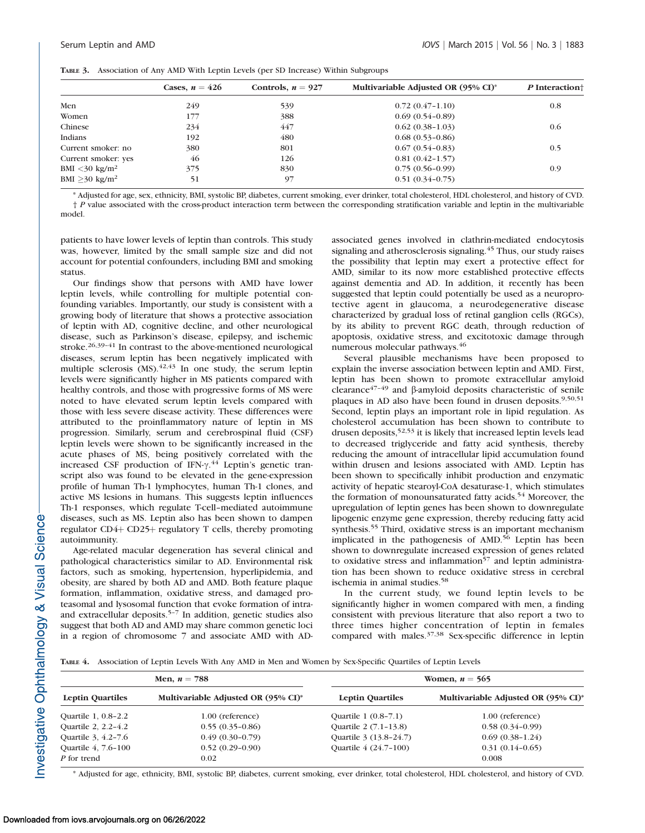|  |  |  | TABLE 3. Association of Any AMD With Leptin Levels (per SD Increase) Within Subgroups |
|--|--|--|---------------------------------------------------------------------------------------|
|--|--|--|---------------------------------------------------------------------------------------|

|                           | Cases, $n = 426$ | Controls, $n = 927$ | Multivariable Adjusted OR (95% CI)* | P Interaction <sup>+</sup> |
|---------------------------|------------------|---------------------|-------------------------------------|----------------------------|
| Men                       | 249              | 539                 | $0.72(0.47-1.10)$                   | 0.8                        |
| Women                     | 177              | 388                 | $0.69(0.54-0.89)$                   |                            |
| Chinese                   | 234              | 447                 | $0.62(0.38-1.03)$                   | 0.6                        |
| Indians                   | 192              | 480                 | $0.68(0.53-0.86)$                   |                            |
| Current smoker: no        | 380              | 801                 | $0.67(0.54 - 0.83)$                 | 0.5                        |
| Current smoker: yes       | 46               | 126                 | $0.81(0.42 - 1.57)$                 |                            |
| $BMI < 30 \text{ kg/m}^2$ | 375              | 830                 | $0.75(0.56-0.99)$                   | 0.9                        |
| BMI $>30 \text{ kg/m}^2$  | 51               | 97                  | $0.51(0.34-0.75)$                   |                            |

\* Adjusted for age, sex, ethnicity, BMI, systolic BP, diabetes, current smoking, ever drinker, total cholesterol, HDL cholesterol, and history of CVD. † P value associated with the cross-product interaction term between the corresponding stratification variable and leptin in the multivariable model.

patients to have lower levels of leptin than controls. This study was, however, limited by the small sample size and did not account for potential confounders, including BMI and smoking status.

Our findings show that persons with AMD have lower leptin levels, while controlling for multiple potential confounding variables. Importantly, our study is consistent with a growing body of literature that shows a protective association of leptin with AD, cognitive decline, and other neurological disease, such as Parkinson's disease, epilepsy, and ischemic stroke.<sup>26,39-41</sup> In contrast to the above-mentioned neurological diseases, serum leptin has been negatively implicated with multiple sclerosis  $(MS)$ .<sup>42,43</sup> In one study, the serum leptin levels were significantly higher in MS patients compared with healthy controls, and those with progressive forms of MS were noted to have elevated serum leptin levels compared with those with less severe disease activity. These differences were attributed to the proinflammatory nature of leptin in MS progression. Similarly, serum and cerebrospinal fluid (CSF) leptin levels were shown to be significantly increased in the acute phases of MS, being positively correlated with the increased CSF production of IFN- $\gamma$ .<sup>44</sup> Leptin's genetic transcript also was found to be elevated in the gene-expression profile of human Th-1 lymphocytes, human Th-1 clones, and active MS lesions in humans. This suggests leptin influences Th-1 responses, which regulate T-cell–mediated autoimmune diseases, such as MS. Leptin also has been shown to dampen regulator  $CD4$ + $CD25$ + regulatory T cells, thereby promoting autoimmunity.

Age-related macular degeneration has several clinical and pathological characteristics similar to AD. Environmental risk factors, such as smoking, hypertension, hyperlipidemia, and obesity, are shared by both AD and AMD. Both feature plaque formation, inflammation, oxidative stress, and damaged proteasomal and lysosomal function that evoke formation of intraand extracellular deposits.5–7 In addition, genetic studies also suggest that both AD and AMD may share common genetic loci in a region of chromosome 7 and associate AMD with AD- associated genes involved in clathrin-mediated endocytosis signaling and atherosclerosis signaling.<sup>45</sup> Thus, our study raises the possibility that leptin may exert a protective effect for AMD, similar to its now more established protective effects against dementia and AD. In addition, it recently has been suggested that leptin could potentially be used as a neuroprotective agent in glaucoma, a neurodegenerative disease characterized by gradual loss of retinal ganglion cells (RGCs), by its ability to prevent RGC death, through reduction of apoptosis, oxidative stress, and excitotoxic damage through numerous molecular pathways.46

Several plausible mechanisms have been proposed to explain the inverse association between leptin and AMD. First, leptin has been shown to promote extracellular amyloid clearance $47-49$  and  $\beta$ -amyloid deposits characteristic of senile plaques in AD also have been found in drusen deposits.<sup>9,50,51</sup> Second, leptin plays an important role in lipid regulation. As cholesterol accumulation has been shown to contribute to drusen deposits,<sup>52,53</sup> it is likely that increased leptin levels lead to decreased triglyceride and fatty acid synthesis, thereby reducing the amount of intracellular lipid accumulation found within drusen and lesions associated with AMD. Leptin has been shown to specifically inhibit production and enzymatic activity of hepatic stearoyl-CoA desaturase-1, which stimulates the formation of monounsaturated fatty acids.<sup>54</sup> Moreover, the upregulation of leptin genes has been shown to downregulate lipogenic enzyme gene expression, thereby reducing fatty acid synthesis.<sup>55</sup> Third, oxidative stress is an important mechanism implicated in the pathogenesis of AMD.<sup>56</sup> Leptin has been shown to downregulate increased expression of genes related to oxidative stress and inflammation $\overline{57}$  and leptin administration has been shown to reduce oxidative stress in cerebral ischemia in animal studies.<sup>58</sup>

In the current study, we found leptin levels to be significantly higher in women compared with men, a finding consistent with previous literature that also report a two to three times higher concentration of leptin in females compared with males.37,38 Sex-specific difference in leptin

TABLE 4. Association of Leptin Levels With Any AMD in Men and Women by Sex-Specific Quartiles of Leptin Levels

| Men, $n = 788$          |                                     | Women, $n = 565$        |                                     |  |
|-------------------------|-------------------------------------|-------------------------|-------------------------------------|--|
| <b>Leptin Quartiles</b> | Multivariable Adjusted OR (95% CI)* | <b>Leptin Quartiles</b> | Multivariable Adjusted OR (95% CI)* |  |
| Quartile 1, 0.8-2.2     | 1.00 (reference)                    | Quartile 1 (0.8–7.1)    | 1.00 (reference)                    |  |
| Quartile 2, 2.2-4.2     | $0.55(0.35-0.86)$                   | Quartile 2 (7.1-13.8)   | $0.58(0.34-0.99)$                   |  |
| Quartile 3, 4.2-7.6     | $0.49(0.30-0.79)$                   | Quartile 3 (13.8-24.7)  | $0.69(0.38-1.24)$                   |  |
| Quartile 4, 7.6-100     | $0.52(0.29-0.90)$                   | Quartile 4 (24.7-100)   | $0.31(0.14-0.65)$                   |  |
| P for trend             | 0.02                                |                         | 0.008                               |  |

\* Adjusted for age, ethnicity, BMI, systolic BP, diabetes, current smoking, ever drinker, total cholesterol, HDL cholesterol, and history of CVD.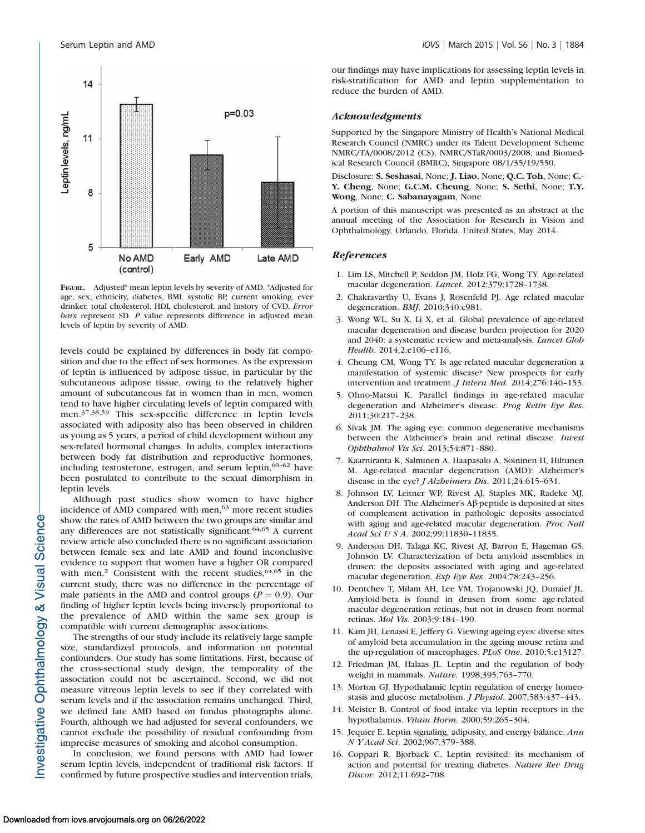

FIGURE. Adjusted\* mean leptin levels by severity of AMD. \*Adjusted for age, sex, ethnicity, diabetes, BMI, systolic BP, current smoking, ever drinker, total cholesterol, HDL cholesterol, and history of CVD. Error bars represent SD. P value represents difference in adjusted mean levels of leptin by severity of AMD.

levels could be explained by differences in body fat composition and due to the effect of sex hormones. As the expression of leptin is influenced by adipose tissue, in particular by the subcutaneous adipose tissue, owing to the relatively higher amount of subcutaneous fat in women than in men, women tend to have higher circulating levels of leptin compared with men.37,38,59 This sex-specific difference in leptin levels associated with adiposity also has been observed in children as young as 5 years, a period of child development without any sex-related hormonal changes. In adults, complex interactions between body fat distribution and reproductive hormones, including testosterone, estrogen, and serum leptin,<sup>60-62</sup> have been postulated to contribute to the sexual dimorphism in leptin levels.

Although past studies show women to have higher incidence of AMD compared with men,<sup>63</sup> more recent studies show the rates of AMD between the two groups are similar and any differences are not statistically significant.64,65 A current review article also concluded there is no significant association between female sex and late AMD and found inconclusive evidence to support that women have a higher OR compared with men.<sup>2</sup> Consistent with the recent studies,  $64,65$  in the current study, there was no difference in the percentage of male patients in the AMD and control groups ( $P = 0.9$ ). Our finding of higher leptin levels being inversely proportional to the prevalence of AMD within the same sex group is compatible with current demographic associations.

The strengths of our study include its relatively large sample size, standardized protocols, and information on potential confounders. Our study has some limitations. First, because of the cross-sectional study design, the temporality of the association could not be ascertained. Second, we did not measure vitreous leptin levels to see if they correlated with serum levels and if the association remains unchanged. Third, we defined late AMD based on fundus photographs alone. Fourth, although we had adjusted for several confounders, we cannot exclude the possibility of residual confounding from imprecise measures of smoking and alcohol consumption.

In conclusion, we found persons with AMD had lower serum leptin levels, independent of traditional risk factors. If confirmed by future prospective studies and intervention trials, our findings may have implications for assessing leptin levels in risk-stratification for AMD and leptin supplementation to reduce the burden of AMD.

#### Acknowledgments

Supported by the Singapore Ministry of Health's National Medical Research Council (NMRC) under its Talent Development Scheme NMRC/TA/0008/2012 (CS), NMRC/STaR/0003/2008, and Biomedical Research Council (BMRC), Singapore 08/1/35/19/550.

Disclosure: S. Seshasai, None; J. Liao, None; Q.C. Toh, None; C.- Y. Cheng, None; G.C.M. Cheung, None; S. Sethi, None; T.Y. Wong, None; C. Sabanayagam, None

A portion of this manuscript was presented as an abstract at the annual meeting of the Association for Research in Vision and Ophthalmology, Orlando, Florida, United States, May 2014.

#### References

- 1. Lim LS, Mitchell P, Seddon JM, Holz FG, Wong TY. Age-related macular degeneration. Lancet. 2012;379:1728–1738.
- 2. Chakravarthy U, Evans J, Rosenfeld PJ. Age related macular degeneration. BMJ. 2010;340:c981.
- 3. Wong WL, Su X, Li X, et al. Global prevalence of age-related macular degeneration and disease burden projection for 2020 and 2040: a systematic review and meta-analysis. Lancet Glob Health. 2014;2:e106–e116.
- 4. Cheung CM, Wong TY. Is age-related macular degeneration a manifestation of systemic disease? New prospects for early intervention and treatment. J Intern Med. 2014;276:140–153.
- 5. Ohno-Matsui K. Parallel findings in age-related macular degeneration and Alzheimer's disease. Prog Retin Eye Res. 2011;30:217–238.
- 6. Sivak JM. The aging eye: common degenerative mechanisms between the Alzheimer's brain and retinal disease. Invest Ophthalmol Vis Sci. 2013;54:871–880.
- 7. Kaarniranta K, Salminen A, Haapasalo A, Soininen H, Hiltunen M. Age-related macular degeneration (AMD): Alzheimer's disease in the eye? *J Alzheimers Dis*. 2011;24:615-631.
- 8. Johnson LV, Leitner WP, Rivest AJ, Staples MK, Radeke MJ, Anderson DH. The Alzheimer's Aß-peptide is deposited at sites of complement activation in pathologic deposits associated with aging and age-related macular degeneration. Proc Natl Acad Sci U S A. 2002;99:11830–11835.
- 9. Anderson DH, Talaga KC, Rivest AJ, Barron E, Hageman GS, Johnson LV. Characterization of beta amyloid assemblies in drusen: the deposits associated with aging and age-related macular degeneration. Exp Eye Res. 2004;78:243–256.
- 10. Dentchev T, Milam AH, Lee VM, Trojanowski JQ, Dunaief JL. Amyloid-beta is found in drusen from some age-related macular degeneration retinas, but not in drusen from normal retinas. Mol Vis. 2003;9:184–190.
- 11. Kam JH, Lenassi E, Jeffery G. Viewing ageing eyes: diverse sites of amyloid beta accumulation in the ageing mouse retina and the up-regulation of macrophages. PLoS One. 2010;5:e13127.
- 12. Friedman JM, Halaas JL. Leptin and the regulation of body weight in mammals. Nature. 1998;395:763–770.
- 13. Morton GJ. Hypothalamic leptin regulation of energy homeostasis and glucose metabolism. J Physiol. 2007;583:437–443.
- 14. Meister B. Control of food intake via leptin receptors in the hypothalamus. Vitam Horm. 2000;59:265–304.
- 15. Jequier E. Leptin signaling, adiposity, and energy balance. Ann N Y Acad Sci. 2002;967:379–388.
- 16. Coppari R, Bjorbaek C. Leptin revisited: its mechanism of action and potential for treating diabetes. Nature Rev Drug Discov. 2012;11:692–708.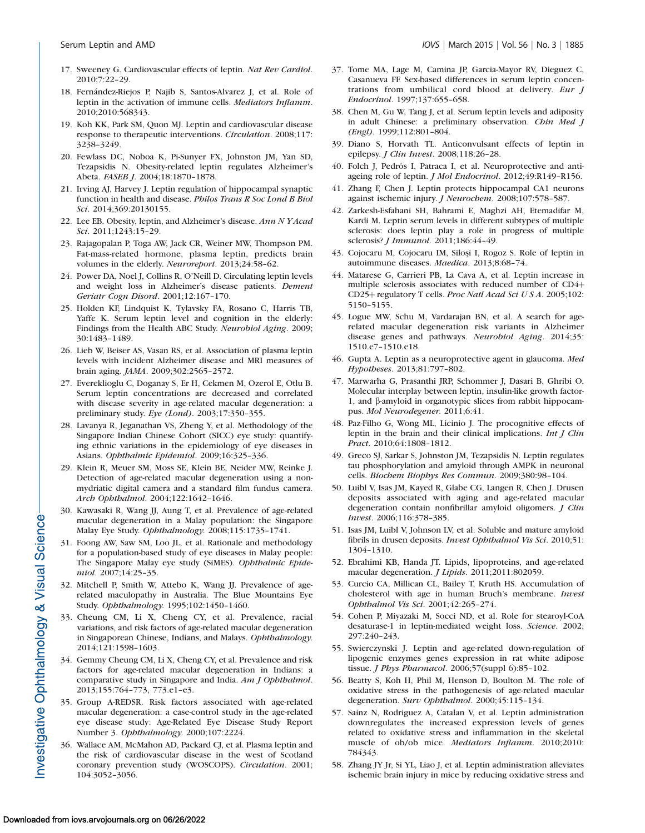- 17. Sweeney G. Cardiovascular effects of leptin. Nat Rev Cardiol. 2010;7:22–29.
- 18. Fernández-Riejos P, Najib S, Santos-Alvarez J, et al. Role of leptin in the activation of immune cells. Mediators Inflamm. 2010;2010:568343.
- 19. Koh KK, Park SM, Quon MJ. Leptin and cardiovascular disease response to therapeutic interventions. Circulation. 2008;117: 3238–3249.
- 20. Fewlass DC, Noboa K, Pi-Sunyer FX, Johnston JM, Yan SD, Tezapsidis N. Obesity-related leptin regulates Alzheimer's Abeta. FASEB J. 2004;18:1870–1878.
- 21. Irving AJ, Harvey J. Leptin regulation of hippocampal synaptic function in health and disease. Philos Trans R Soc Lond B Biol Sci. 2014;369:20130155.
- 22. Lee EB. Obesity, leptin, and Alzheimer's disease. Ann N Y Acad Sci. 2011;1243:15–29.
- 23. Rajagopalan P, Toga AW, Jack CR, Weiner MW, Thompson PM. Fat-mass-related hormone, plasma leptin, predicts brain volumes in the elderly. Neuroreport. 2013;24:58–62.
- 24. Power DA, Noel J, Collins R, O'Neill D. Circulating leptin levels and weight loss in Alzheimer's disease patients. Dement Geriatr Cogn Disord. 2001;12:167–170.
- 25. Holden KF, Lindquist K, Tylavsky FA, Rosano C, Harris TB, Yaffe K. Serum leptin level and cognition in the elderly: Findings from the Health ABC Study. Neurobiol Aging. 2009; 30:1483–1489.
- 26. Lieb W, Beiser AS, Vasan RS, et al. Association of plasma leptin levels with incident Alzheimer disease and MRI measures of brain aging. JAMA. 2009;302:2565–2572.
- 27. Evereklioglu C, Doganay S, Er H, Cekmen M, Ozerol E, Otlu B. Serum leptin concentrations are decreased and correlated with disease severity in age-related macular degeneration: a preliminary study. Eye (Lond). 2003;17:350–355.
- 28. Lavanya R, Jeganathan VS, Zheng Y, et al. Methodology of the Singapore Indian Chinese Cohort (SICC) eye study: quantifying ethnic variations in the epidemiology of eye diseases in Asians. Ophthalmic Epidemiol. 2009;16:325–336.
- 29. Klein R, Meuer SM, Moss SE, Klein BE, Neider MW, Reinke J. Detection of age-related macular degeneration using a nonmydriatic digital camera and a standard film fundus camera. Arch Ophthalmol. 2004;122:1642–1646.
- 30. Kawasaki R, Wang JJ, Aung T, et al. Prevalence of age-related macular degeneration in a Malay population: the Singapore Malay Eye Study. Ophthalmology. 2008;115:1735–1741.
- 31. Foong AW, Saw SM, Loo JL, et al. Rationale and methodology for a population-based study of eye diseases in Malay people: The Singapore Malay eye study (SiMES). Ophthalmic Epidemiol. 2007;14:25–35.
- 32. Mitchell P, Smith W, Attebo K, Wang JJ. Prevalence of agerelated maculopathy in Australia. The Blue Mountains Eye Study. Ophthalmology. 1995;102:1450–1460.
- 33. Cheung CM, Li X, Cheng CY, et al. Prevalence, racial variations, and risk factors of age-related macular degeneration in Singaporean Chinese, Indians, and Malays. Ophthalmology. 2014;121:1598–1603.
- 34. Gemmy Cheung CM, Li X, Cheng CY, et al. Prevalence and risk factors for age-related macular degeneration in Indians: a comparative study in Singapore and India. Am J Ophthalmol. 2013;155:764–773, 773.e1–e3.
- 35. Group A-REDSR. Risk factors associated with age-related macular degeneration: a case-control study in the age-related eye disease study: Age-Related Eye Disease Study Report Number 3. Ophthalmology. 2000;107:2224.
- 36. Wallace AM, McMahon AD, Packard CJ, et al. Plasma leptin and the risk of cardiovascular disease in the west of Scotland coronary prevention study (WOSCOPS). Circulation. 2001; 104:3052–3056.
- 37. Tome MA, Lage M, Camina JP, Garcia-Mayor RV, Dieguez C, Casanueva FF. Sex-based differences in serum leptin concentrations from umbilical cord blood at delivery. Eur J Endocrinol. 1997;137:655–658.
- 38. Chen M, Gu W, Tang J, et al. Serum leptin levels and adiposity in adult Chinese: a preliminary observation. Chin Med J (Engl). 1999;112:801–804.
- 39. Diano S, Horvath TL. Anticonvulsant effects of leptin in epilepsy. J Clin Invest. 2008;118:26–28.
- 40. Folch J, Pedrós I, Patraca I, et al. Neuroprotective and antiageing role of leptin. J Mol Endocrinol. 2012;49:R149–R156.
- 41. Zhang F, Chen J. Leptin protects hippocampal CA1 neurons against ischemic injury. J Neurochem. 2008;107:578–587.
- 42. Zarkesh-Esfahani SH, Bahrami E, Maghzi AH, Etemadifar M, Kardi M. Leptin serum levels in different subtypes of multiple sclerosis: does leptin play a role in progress of multiple sclerosis? J Immunol. 2011;186:44–49.
- 43. Cojocaru M, Cojocaru IM, Siloși I, Rogoz S. Role of leptin in autoimmune diseases. Maedica. 2013;8:68–74.
- 44. Matarese G, Carrieri PB, La Cava A, et al. Leptin increase in multiple sclerosis associates with reduced number of  $CD4+$ CD25+ regulatory T cells. Proc Natl Acad Sci U S A. 2005;102: 5150–5155.
- 45. Logue MW, Schu M, Vardarajan BN, et al. A search for agerelated macular degeneration risk variants in Alzheimer disease genes and pathways. Neurobiol Aging. 2014;35: 1510.e7–1510.e18.
- 46. Gupta A. Leptin as a neuroprotective agent in glaucoma. Med Hypotheses. 2013;81:797–802.
- 47. Marwarha G, Prasanthi JRP, Schommer J, Dasari B, Ghribi O. Molecular interplay between leptin, insulin-like growth factor-1, and b-amyloid in organotypic slices from rabbit hippocampus. Mol Neurodegener. 2011;6:41.
- 48. Paz-Filho G, Wong ML, Licinio J. The procognitive effects of leptin in the brain and their clinical implications. Int J Clin Pract. 2010;64:1808–1812.
- 49. Greco SJ, Sarkar S, Johnston JM, Tezapsidis N. Leptin regulates tau phosphorylation and amyloid through AMPK in neuronal cells. Biochem Biophys Res Commun. 2009;380:98–104.
- 50. Luibl V, Isas JM, Kayed R, Glabe CG, Langen R, Chen J. Drusen deposits associated with aging and age-related macular degeneration contain nonfibrillar amyloid oligomers. *J Clin* Invest. 2006;116:378–385.
- 51. Isas JM, Luibl V, Johnson LV, et al. Soluble and mature amyloid fibrils in drusen deposits. Invest Ophthalmol Vis Sci. 2010;51: 1304–1310.
- 52. Ebrahimi KB, Handa JT. Lipids, lipoproteins, and age-related macular degeneration. J Lipids. 2011;2011:802059.
- 53. Curcio CA, Millican CL, Bailey T, Kruth HS. Accumulation of cholesterol with age in human Bruch's membrane. Invest Ophthalmol Vis Sci. 2001;42:265–274.
- 54. Cohen P, Miyazaki M, Socci ND, et al. Role for stearoyl-CoA desaturase-1 in leptin-mediated weight loss. Science. 2002; 297:240–243.
- 55. Swierczynski J. Leptin and age-related down-regulation of lipogenic enzymes genes expression in rat white adipose tissue. J Phys Pharmacol. 2006;57(suppl 6):85–102.
- 56. Beatty S, Koh H, Phil M, Henson D, Boulton M. The role of oxidative stress in the pathogenesis of age-related macular degeneration. Surv Ophthalmol. 2000;45:115-134.
- 57. Sainz N, Rodriguez A, Catalan V, et al. Leptin administration downregulates the increased expression levels of genes related to oxidative stress and inflammation in the skeletal muscle of ob/ob mice. Mediators Inflamm. 2010;2010: 784343.
- 58. Zhang JY Jr, Si YL, Liao J, et al. Leptin administration alleviates ischemic brain injury in mice by reducing oxidative stress and